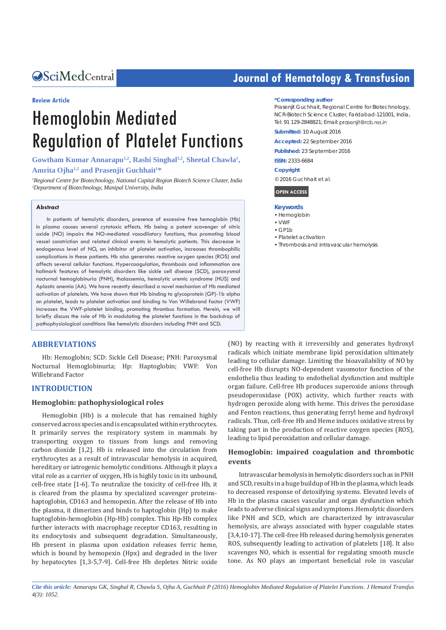# Central *Bringing Excellence in Open Access*

#### **Review Article**

# Hemoglobin Mediated Regulation of Platelet Functions

# Gowtham Kumar Annarapu<sup>1,2</sup>, Rashi Singhal<sup>1,2</sup>, Sheetal Chawla<sup>1</sup>, **Amrita Ojha1,2 and Prasenjit Guchhait1 \***

*1 Regional Centre for Biotechnology, National Capital Region Biotech Science Cluster, India 2 Department of Biotechnology, Manipal University, India*

#### **Abstract**

In patients of hemolytic disorders, presence of excessive free hemoglobin (Hb) in plasma causes several cytotoxic effects. Hb being a potent scavenger of nitric oxide (NO) impairs the NO-mediated vasodilatory functions, thus promoting blood vessel constriction and related clinical events in hemolytic patients. This decrease in endogenous level of NO, an inhibitor of platelet activation, increases thrombophilic complications in these patients. Hb also generates reactive oxygen species (ROS) and affects several cellular functions. Hypercoagulation, thrombosis and inflammation are hallmark features of hemolytic disorders like sickle cell disease (SCD), paroxysmal nocturnal hemoglobinuria (PNH), thalassemia, hemolytic uremic syndrome (HUS) and Aplastic anemia (AA). We have recently described a novel mechanism of Hb mediated activation of platelets. We have shown that Hb binding to glycoprotein (GP)-1b alpha on platelet, leads to platelet activation and binding to Von Willebrand factor (VWF) increases the VWF-platelet binding, promoting thrombus formation. Herein, we will briefly discuss the role of Hb in modulating the platelet functions in the backdrop of pathophysiological conditions like hemolytic disorders including PNH and SCD.

## **ABBREVIATIONS**

Hb: Hemoglobin; SCD: Sickle Cell Disease; PNH: Paroxysmal Nocturnal Hemoglobinuria; Hp: Haptoglobin; VWF: Von Willebrand Factor

## **INTRODUCTION**

### **Hemoglobin: pathophysiological roles**

Hemoglobin (Hb) is a molecule that has remained highly conserved across species and is encapsulated within erythrocytes. It primarily serves the respiratory system in mammals by transporting oxygen to tissues from lungs and removing carbon dioxide [1,2]. Hb is released into the circulation from erythrocytes as a result of intravascular hemolysis in acquired, hereditary or iatrogenic hemolytic conditions. Although it plays a vital role as a carrier of oxygen, Hb is highly toxic in its unbound, cell-free state [1-6]. To neutralize the toxicity of cell-free Hb, it is cleared from the plasma by specialized scavenger proteinshaptoglobin, CD163 and hemopexin. After the release of Hb into the plasma, it dimerizes and binds to haptoglobin (Hp) to make haptoglobin-hemoglobin (Hp-Hb) complex. This Hp-Hb complex further interacts with macrophage receptor CD163, resulting in its endocytosis and subsequent degradation. Simultaneously, Hb present in plasma upon oxidation releases ferric heme, which is bound by hemopexin (Hpx) and degraded in the liver by hepatocytes [1,3-5,7-9]. Cell-free Hb depletes Nitric oxide

# **Journal of Hematology & Transfusion**

#### **\*Corresponding author**

Prasenjit Guchhait, Regional Centre for Biotechnology, NCR-Biotech Science Cluster, Faridabad-121001, India, Tel: 91 129-2848821; Email: praseniit@rcb.res.in

**Submitted:** 10 August 2016

**Accepted:** 22 September 2016

**Published:** 23 September 2016

**ISSN:** 2333-6684

#### **Copyright**

© 2016 Guchhait et al.

**OPEN ACCESS**

- **Keywords**
- Hemoglobin
- WWF
- $\cdot$  GP1b
- • Platelet activation
- • Thrombosis and intravascular hemolysis

(NO) by reacting with it irreversibly and generates hydroxyl radicals which initiate membrane lipid peroxidation ultimately leading to cellular damage. Limiting the bioavailability of NO by cell-free Hb disrupts NO-dependent vasomotor function of the endothelia thus leading to endothelial dysfunction and multiple organ failure. Cell-free Hb produces superoxide anions through pseudoperoxidase (POX) activity, which further reacts with hydrogen peroxide along with heme. This drives the peroxidase and Fenton reactions, thus generating ferryl heme and hydroxyl radicals. Thus, cell-free Hb and Heme induces oxidative stress by taking part in the production of reactive oxygen species (ROS), leading to lipid peroxidation and cellular damage.

# **Hemoglobin: impaired coagulation and thrombotic events**

Intravascular hemolysis in hemolytic disorders such as in PNH and SCD, results in a huge buildup of Hb in the plasma, which leads to decreased response of detoxifying systems. Elevated levels of Hb in the plasma causes vascular and organ dysfunction which leads to adverse clinical signs and symptoms .Hemolytic disorders like PNH and SCD, which are characterized by intravascular hemolysis, are always associated with hyper coagulable states [3,4,10-17]. The cell-free Hb released during hemolysis generates ROS, subsequently leading to activation of platelets [18]. It also scavenges NO, which is essential for regulating smooth muscle tone. As NO plays an important beneficial role in vascular

*Cite this article: Annarapu GK, Singhal R, Chawla S, Ojha A, Guchhait P (2016) Hemoglobin Mediated Regulation of Platelet Functions. J Hematol Transfus 4(3): 1052.*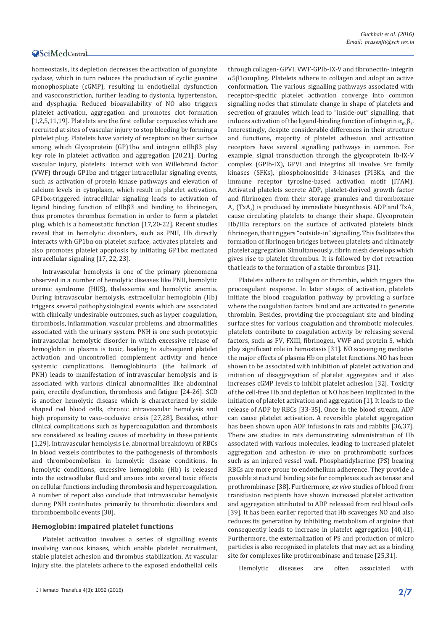homeostasis, its depletion decreases the activation of guanylate cyclase, which in turn reduces the production of cyclic guanine monophosphate (cGMP), resulting in endothelial dysfunction and vasoconstriction, further leading to dystonia, hypertension, and dysphagia. Reduced bioavailability of NO also triggers platelet activation, aggregation and promotes clot formation [1,2,5,11,19]. Platelets are the first cellular corpuscles which are recruited at sites of vascular injury to stop bleeding by forming a platelet plug. Platelets have variety of receptors on their surface among which Glycoprotein (GP)1bα and integrin αIIbβ3 play key role in platelet activation and aggregation [20,21]. During vascular injury, platelets interact with von Willebrand factor (VWF) through GP1bα and trigger intracellular signaling events, such as activation of protein kinase pathways and elevation of calcium levels in cytoplasm, which result in platelet activation. GP1bα-triggered intracellular signaling leads to activation of ligand binding function of αIIbβ3 and binding to fibrinogen, thus promotes thrombus formation in order to form a platelet plug, which is a homeostatic function [17,20-22]. Recent studies reveal that in hemolytic disorders, such as PNH, Hb directly interacts with GP1bα on platelet surface, activates platelets and also promotes platelet apoptosis by initiating GP1bα mediated intracellular signaling [17, 22, 23].

Intravascular hemolysis is one of the primary phenomena observed in a number of hemolytic diseases like PNH, hemolytic uremic syndrome (HUS), thalassemia and hemolytic anemia. During intravascular hemolysis, extracellular hemoglobin (Hb) triggers several pathophysiological events which are associated with clinically undesirable outcomes, such as hyper coagulation, thrombosis, inflammation, vascular problems, and abnormalities associated with the urinary system. PNH is one such prototypic intravascular hemolytic disorder in which excessive release of hemoglobin in plasma is toxic, leading to subsequent platelet activation and uncontrolled complement activity and hence systemic complications. Hemoglobinuria (the hallmark of PNH) leads to manifestation of intravascular hemolysis and is associated with various clinical abnormalities like abdominal pain, erectile dysfunction, thrombosis and fatigue [24-26]. SCD is another hemolytic disease which is characterized by sickle shaped red blood cells, chronic intravascular hemolysis and high propensity to vaso-occlusive crisis [27,28]. Besides, other clinical complications such as hypercoagulation and thrombosis are considered as leading causes of morbidity in these patients [1,29]. Intravascular hemolysis i.e. abnormal breakdown of RBCs in blood vessels contributes to the pathogenesis of thrombosis and thromboembolism in hemolytic disease conditions. In hemolytic conditions, excessive hemoglobin (Hb) is released into the extracellular fluid and ensues into several toxic effects on cellular functions including thrombosis and hypercoagulation. A number of report also conclude that intravascular hemolysis during PNH contributes primarily to thrombotic disorders and thromboembolic events [30].

## **Hemoglobin: impaired platelet functions**

Platelet activation involves a series of signalling events involving various kinases, which enable platelet recruitment, stable platelet adhesion and thrombus stabilization. At vascular injury site, the platelets adhere to the exposed endothelial cells

J Hematol Transfus 4(3): 1052 (2016) **2/7**

through collagen- GPVI, VWF-GPIb-IX-V and fibronectin- integrin α5β1coupling. Platelets adhere to collagen and adopt an active conformation. The various signalling pathways associated with receptor-specific platelet activation converge into common signalling nodes that stimulate change in shape of platelets and secretion of granules which lead to "inside-out" signalling, that induces activation of the ligand-binding function of integrin  $\alpha_{\text{lib}}\beta_3$ . Interestingly, despite considerable differences in their structure and functions, majority of platelet adhesion and activation receptors have several signalling pathways in common. For example, signal transduction through the glycoprotein Ib-IX-V complex (GPIb-IX), GPVI and integrins all involve Src family kinases (SFKs), phosphoinositide 3-kinases (PI3Ks, and the immune receptor tyrosine-based activation motif (ITAM). Activated platelets secrete ADP, platelet-derived growth factor and fibrinogen from their storage granules and thromboxane  ${\rm A}^{}_{2}$  (TxA $^{}_{2}$ ) is produced by immediate biosynthesis. ADP and TxA $^{}_{2}$ cause circulating platelets to change their shape. Glycoprotein IIb/IIIa receptors on the surface of activated platelets binds fibrinogen, that triggers "outside-in" signalling. This facilitates the formation of fibrinogen bridges between platelets and ultimately platelet aggregation. Simultaneously, fibrin mesh develops which gives rise to platelet thrombus. It is followed by clot retraction that leads to the formation of a stable thrombus [31].

Platelets adhere to collagen or thrombin, which triggers the procoagulant response. In later stages of activation, platelets initiate the blood coagulation pathway by providing a surface where the coagulation factors bind and are activated to generate thrombin. Besides, providing the procoagulant site and binding surface sites for various coagulation and thrombotic molecules, platelets contribute to coagulation activity by releasing several factors, such as FV, FXIII, fibrinogen, VWF and protein S, which play significant role in hemostasis [31]. NO scavenging mediates the major effects of plasma Hb on platelet functions. NO has been shown to be associated with inhibition of platelet activation and initiation of disaggregation of platelet aggregates and it also increases cGMP levels to inhibit platelet adhesion [32]. Toxicity of the cell-free Hb and depletion of NO has been implicated in the initiation of platelet activation and aggregation [1]. It leads to the release of ADP by RBCs [33-35]. Once in the blood stream, ADP can cause platelet activation. A reversible platelet aggregation has been shown upon ADP infusions in rats and rabbits [36,37]. There are studies in rats demonstrating administration of Hb associated with various molecules, leading to increased platelet aggregation and adhesion *in vivo* on prothrombotic surfaces such as an injured vessel wall. Phosphatidylserine (PS) bearing RBCs are more prone to endothelium adherence. They provide a possible structural binding site for complexes such as tenase and prothrombinase [38]. Furthermore, *ex vivo* studies of blood from transfusion recipients have shown increased platelet activation and aggregation attributed to ADP released from red blood cells [39]. It has been earlier reported that Hb scavenges NO and also reduces its generation by inhibiting metabolism of arginine that consequently leads to increase in platelet aggregation [40,41]. Furthermore, the externalization of PS and production of micro particles is also recognized in platelets that may act as a binding site for complexes like prothrombinase and tenase [25,31].

Hemolytic diseases are often associated with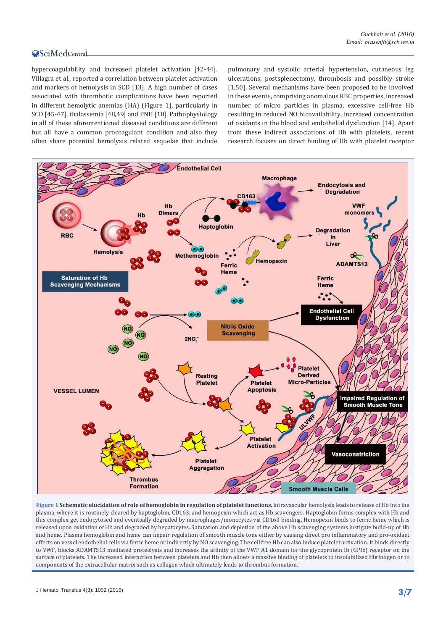hypercoagulability and increased platelet activation [42-44]. Villagra et al., reported a correlation between platelet activation and markers of hemolysis in SCD [13]. A high number of cases associated with thrombotic complications have been reported in different hemolytic anemias (HA) (Figure 1), particularly in SCD [45-47], thalassemia [48,49] and PNH [10]. Pathophysiology in all of these aforementioned diseased conditions are different but all have a common procoagulant condition and also they often share potential hemolysis related sequelae that include

pulmonary and systolic arterial hypertension, cutaneous leg ulcerations, postsplenectomy, thrombosis and possibly stroke [1,50]. Several mechanisms have been proposed to be involved in these events, comprising anomalous RBC properties, increased number of micro particles in plasma, excessive cell-free Hb resulting in reduced NO bioavailability, increased concentration of oxidants in the blood and endothelial dysfunction [14]. Apart from these indirect associations of Hb with platelets, recent research focuses on direct binding of Hb with platelet receptor



**Figure 1 Schematic elucidation of role of hemoglobin in regulation of platelet functions.** Intravascular hemolysis leads to release of Hb into the plasma, where it is routinely cleared by haptoglobin, CD163, and hemopexin which act as Hb scavengers. Haptoglobin forms complex with Hb and this complex get endocytosed and eventually degraded by macrophages/monocytes via CD163 binding. Hemopexin binds to ferric heme which is released upon oxidation of Hb and degraded by hepatocytes. Saturation and depletion of the above Hb scavenging systems instigate build-up of Hb and heme. Plasma hemoglobin and heme can impair regulation of smooth muscle tone either by causing direct pro inflammatory and pro-oxidant effects on vessel endothelial cells via ferric heme or indirectly by NO scavenging. The cell free Hb can also induce platelet activation. It binds directly to VWF, blocks ADAMTS13 mediated proteolysis and increases the affinity of the VWF A1 domain for the glycoprotein Ib (GPIb) receptor on the surface of platelets. The increased interaction between platelets and Hb then allows a massive binding of platelets to insolubilized fibrinogen or to components of the extracellular matrix such as collagen which ultimately leads to thrombus formation.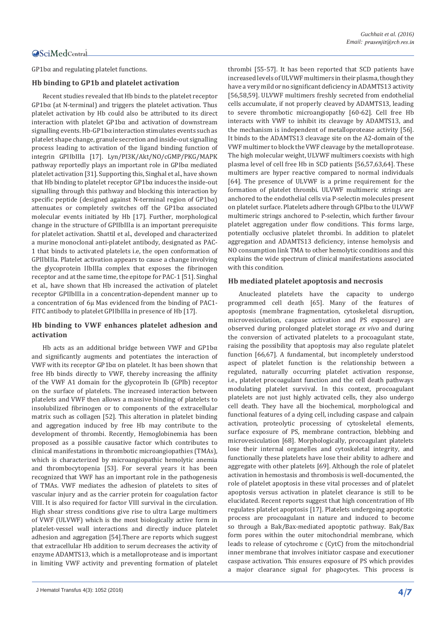GP1bα and regulating platelet functions.

# **Hb binding to GP1b and platelet activation**

Recent studies revealed that Hb binds to the platelet receptor GP1bα (at N-terminal) and triggers the platelet activation. Thus platelet activation by Hb could also be attributed to its direct interaction with platelet GP1bα and activation of downstream signalling events. Hb-GP1bα interaction stimulates events such as platelet shape change, granule secretion and inside-out signalling process leading to activation of the ligand binding function of integrin GPIIbIIIa [17]. Lyn/PI3K/Akt/NO/cGMP/PKG/MAPK pathway reportedly plays an important role in GPIbα mediated platelet activation [31]. Supporting this, Singhal et al., have shown that Hb binding to platelet receptor GP1bα induces the inside-out signalling through this pathway and blocking this interaction by specific peptide (designed against N-terminal region of GP1bα) attenuates or completely switches off the GP1bα associated molecular events initiated by Hb [17]. Further, morphological change in the structure of GPIIbIIIa is an important prerequisite for platelet activation. Shattil et al., developed and characterized a murine monoclonal anti-platelet antibody, designated as PAC-1 that binds to activated platelets i.e, the open conformation of GPIIbIIIa. Platelet activation appears to cause a change involving the glycoprotein IIbIIIa complex that exposes the fibrinogen receptor and at the same time, the epitope for PAC-1 [51]. Singhal et al., have shown that Hb increased the activation of platelet receptor GPIIbIIIa in a concentration-dependent manner up to a concentration of 6µ Mas evidenced from the binding of PAC1- FITC antibody to platelet GPIIbIIIa in presence of Hb [17].

# **Hb binding to VWF enhances platelet adhesion and activation**

Hb acts as an additional bridge between VWF and GP1bα and significantly augments and potentiates the interaction of VWF with its receptor GP1bα on platelet. It has been shown that free Hb binds directly to VWF, thereby increasing the affinity of the VWF A1 domain for the glycoprotein Ib (GPIb) receptor on the surface of platelets. The increased interaction between platelets and VWF then allows a massive binding of platelets to insolubilized fibrinogen or to components of the extracellular matrix such as collagen [52]. This alteration in platelet binding and aggregation induced by free Hb may contribute to the development of thrombi. Recently, Hemoglobinemia has been proposed as a possible causative factor which contributes to clinical manifestations in thrombotic microangiopathies (TMAs), which is characterized by microangiopathic hemolytic anemia and thrombocytopenia [53]. For several years it has been recognized that VWF has an important role in the pathogenesis of TMAs. VWF mediates the adhesion of platelets to sites of vascular injury and as the carrier protein for coagulation factor VIII. It is also required for factor VIII survival in the circulation. High shear stress conditions give rise to ultra Large multimers of VWF (ULVWF) which is the most biologically active form in platelet-vessel wall interactions and directly induce platelet adhesion and aggregation [54].There are reports which suggest that extracellular Hb addition to serum decreases the activity of enzyme ADAMTS13, which is a metalloprotease and is important in limiting VWF activity and preventing formation of platelet thrombi [55-57]. It has been reported that SCD patients have increased levels of ULVWF multimers in their plasma, though they have a very mild or no significant deficiency in ADAMTS13 activity [56,58,59]. ULVWF multimers freshly secreted from endothelial cells accumulate, if not properly cleaved by ADAMTS13, leading to severe thrombotic microangiopathy [60-62]. Cell free Hb interacts with VWF to inhibit its cleavage by ADAMTS13, and the mechanism is independent of metalloprotease activity [56]. It binds to the ADAMTS13 cleavage site on the A2-domain of the VWF multimer to block the VWF cleavage by the metalloprotease. The high molecular weight, ULVWF multimers coexists with high plasma level of cell free Hb in SCD patients [56,57,63,64]. These multimers are hyper reactive compared to normal individuals [64]. The presence of ULVWF is a prime requirement for the formation of platelet thrombi. ULVWF multimeric strings are anchored to the endothelial cells via P-selectin molecules present on platelet surface. Platelets adhere through GPIbα to the ULVWF multimeric strings anchored to P-selectin, which further favour platelet aggregation under flow conditions. This forms large, potentially occlusive platelet thrombi. In addition to platelet aggregation and ADAMTS13 deficiency, intense hemolysis and NO consumption link TMA to other hemolytic conditions and this explains the wide spectrum of clinical manifestations associated with this condition.

# **Hb mediated platelet apoptosis and necrosis**

Anucleated platelets have the capacity to undergo programmed cell death [65]. Many of the features of apoptosis (membrane fragmentation, cytoskeletal disruption, microvesiculation, caspase activation and PS exposure) are observed during prolonged platelet storage *ex vivo* and during the conversion of activated platelets to a procoagulant state, raising the possibility that apoptosis may also regulate platelet function [66,67]. A fundamental, but incompletely understood aspect of platelet function is the relationship between a regulated, naturally occurring platelet activation response, i.e., platelet procoagulant function and the cell death pathways modulating platelet survival. In this context, procoagulant platelets are not just highly activated cells, they also undergo cell death. They have all the biochemical, morphological and functional features of a dying cell, including caspase and calpain activation, proteolytic processing of cytoskeletal elements, surface exposure of PS, membrane contraction, blebbing and microvesiculation [68]. Morphologically, procoagulant platelets lose their internal organelles and cytoskeletal integrity, and functionally these platelets have lose their ability to adhere and aggregate with other platelets [69]. Although the role of platelet activation in hemostasis and thrombosis is well-documented, the role of platelet apoptosis in these vital processes and of platelet apoptosis versus activation in platelet clearance is still to be elucidated. Recent reports suggest that high concentration of Hb regulates platelet apoptosis [17]. Platelets undergoing apoptotic process are procoagulant in nature and induced to become so through a Bak/Bax-mediated apoptotic pathway. Bak/Bax form pores within the outer mitochondrial membrane, which leads to release of cytochrome c (CytC) from the mitochondrial inner membrane that involves initiator caspase and executioner caspase activation. This ensures exposure of PS which provides a major clearance signal for phagocytes. This process is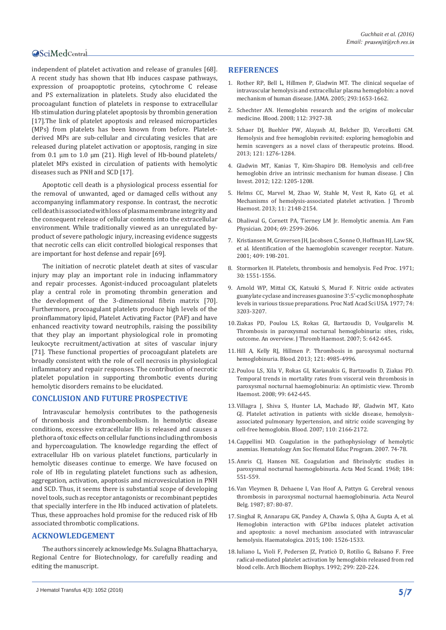independent of platelet activation and release of granules [68]. A recent study has shown that Hb induces caspase pathways, expression of proapoptotic proteins, cytochrome C release and PS externalization in platelets. Study also elucidated the procoagulant function of platelets in response to extracellular Hb stimulation during platelet apoptosis by thrombin generation [17].The link of platelet apoptosis and released microparticles (MPs) from platelets has been known from before. Plateletderived MPs are sub-cellular and circulating vesicles that are released during platelet activation or apoptosis, ranging in size from 0.1 μm to 1.0 μm (21). High level of Hb-bound platelets/ platelet MPs existed in circulation of patients with hemolytic diseases such as PNH and SCD [17].

Apoptotic cell death is a physiological process essential for the removal of unwanted, aged or damaged cells without any accompanying inflammatory response. In contrast, the necrotic cell death is associated with loss of plasma membrane integrity and the consequent release of cellular contents into the extracellular environment. While traditionally viewed as an unregulated byproduct of severe pathologic injury, increasing evidence suggests that necrotic cells can elicit controlled biological responses that are important for host defense and repair [69].

The initiation of necrotic platelet death at sites of vascular injury may play an important role in inducing inflammatory and repair processes. Agonist-induced procoagulant platelets play a central role in promoting thrombin generation and the development of the 3-dimensional fibrin matrix [70]. Furthermore, procoagulant platelets produce high levels of the proinflammatory lipid, Platelet Activating Factor (PAF) and have enhanced reactivity toward neutrophils, raising the possibility that they play an important physiological role in promoting leukocyte recruitment/activation at sites of vascular injury [71]. These functional properties of procoagulant platelets are broadly consistent with the role of cell necrosis in physiological inflammatory and repair responses. The contribution of necrotic platelet population in supporting thrombotic events during hemolytic disorders remains to be elucidated.

# **CONCLUSION AND FUTURE PROSPECTIVE**

Intravascular hemolysis contributes to the pathogenesis of thrombosis and thromboembolism. In hemolytic disease conditions, excessive extracellular Hb is released and causes a plethora of toxic effects on cellular functions including thrombosis and hypercoagulation. The knowledge regarding the effect of extracellular Hb on various platelet functions, particularly in hemolytic diseases continue to emerge. We have focused on role of Hb in regulating platelet functions such as adhesion, aggregation, activation, apoptosis and microvesiculation in PNH and SCD. Thus, it seems there is substantial scope of developing novel tools, such as receptor antagonists or recombinant peptides that specially interfere in the Hb induced activation of platelets. Thus, these approaches hold promise for the reduced risk of Hb associated thrombotic complications.

# **ACKNOWLEDGEMENT**

The authors sincerely acknowledge Ms. Sulagna Bhattacharya, Regional Centre for Biotechnology, for carefully reading and editing the manuscript.

# **REFERENCES**

- 1. [Rother RP, Bell L, Hillmen P, Gladwin MT. The clinical sequelae of](http://www.ncbi.nlm.nih.gov/pubmed/15811985)  [intravascular hemolysis and extracellular plasma hemoglobin: a novel](http://www.ncbi.nlm.nih.gov/pubmed/15811985)  [mechanism of human disease. JAMA. 2005; 293:1653-1662.](http://www.ncbi.nlm.nih.gov/pubmed/15811985)
- 2. [Schechter AN. Hemoglobin research and the origins of molecular](http://www.ncbi.nlm.nih.gov/pubmed/18988877)  [medicine. Blood. 2008; 112: 3927-38.](http://www.ncbi.nlm.nih.gov/pubmed/18988877)
- 3. [Schaer DJ, Buehler PW, Alayash AI, Belcher JD, Vercellotti GM.](http://www.ncbi.nlm.nih.gov/pubmed/23264591)  [Hemolysis and free hemoglobin revisited: exploring hemoglobin and](http://www.ncbi.nlm.nih.gov/pubmed/23264591)  [hemin scavengers as a novel class of therapeutic proteins. Blood.](http://www.ncbi.nlm.nih.gov/pubmed/23264591)  [2013; 121: 1276-1284.](http://www.ncbi.nlm.nih.gov/pubmed/23264591)
- 4. [Gladwin MT, Kanias T, Kim-Shapiro DB. Hemolysis and cell-free](http://www.ncbi.nlm.nih.gov/pubmed/22446184)  [hemoglobin drive an intrinsic mechanism for human disease. J Clin](http://www.ncbi.nlm.nih.gov/pubmed/22446184)  [Invest. 2012; 122: 1205-1208.](http://www.ncbi.nlm.nih.gov/pubmed/22446184)
- 5. [Helms CC, Marvel M, Zhao W, Stahle M, Vest R, Kato GJ, et al.](http://www.ncbi.nlm.nih.gov/pubmed/24119131)  [Mechanisms of hemolysis-associated platelet activation. J Thromb](http://www.ncbi.nlm.nih.gov/pubmed/24119131)  [Haemost. 2013; 11: 2148-2154.](http://www.ncbi.nlm.nih.gov/pubmed/24119131)
- 6. [Dhaliwal G, Cornett PA, Tierney LM Jr. Hemolytic anemia. Am Fam](http://www.ncbi.nlm.nih.gov/pubmed/15202694)  [Physician. 2004; 69: 2599-2606.](http://www.ncbi.nlm.nih.gov/pubmed/15202694)
- 7. [Kristiansen M, Graversen JH, Jacobsen C, Sonne O, Hoffman HJ, Law SK,](http://www.ncbi.nlm.nih.gov/pubmed/11196644)  [et al. Identification of the haemoglobin scavenger receptor. Nature.](http://www.ncbi.nlm.nih.gov/pubmed/11196644)  [2001; 409: 198-201.](http://www.ncbi.nlm.nih.gov/pubmed/11196644)
- 8. [Stormorken H. Platelets, thrombosis and hemolysis. Fed Proc. 1971;](http://www.ncbi.nlm.nih.gov/pubmed/5119361)  [30: 1551-1556.](http://www.ncbi.nlm.nih.gov/pubmed/5119361)
- 9. [Arnold WP, Mittal CK, Katsuki S, Murad F. Nitric oxide activates](http://www.ncbi.nlm.nih.gov/pubmed/20623)  [guanylate cyclase and increases guanosine 3':5'-cyclic monophosphate](http://www.ncbi.nlm.nih.gov/pubmed/20623)  [levels in various tissue preparations. Proc Natl Acad Sci USA. 1977; 74:](http://www.ncbi.nlm.nih.gov/pubmed/20623)  [3203-3207.](http://www.ncbi.nlm.nih.gov/pubmed/20623)
- 10.[Ziakas PD, Poulou LS, Rokas GI, Bartzoudis D, Voulgarelis M.](http://www.ncbi.nlm.nih.gov/pubmed/17319910)  [Thrombosis in paroxysmal nocturnal hemoglobinuria: sites, risks,](http://www.ncbi.nlm.nih.gov/pubmed/17319910)  [outcome. An overview. J Thromb Haemost. 2007; 5: 642-645.](http://www.ncbi.nlm.nih.gov/pubmed/17319910)
- 11.[Hill A, Kelly RJ, Hillmen P. Thrombosis in paroxysmal nocturnal](http://www.ncbi.nlm.nih.gov/pubmed/23610373)  [hemoglobinuria. Blood. 2013; 121: 4985-4996.](http://www.ncbi.nlm.nih.gov/pubmed/23610373)
- 12.[Poulou LS, Xila V, Rokas GI, Karianakis G, Bartzoudis D, Ziakas PD.](http://www.ncbi.nlm.nih.gov/pubmed/18327419)  [Temporal trends in mortality rates from visceral vein thrombosis in](http://www.ncbi.nlm.nih.gov/pubmed/18327419)  [paroxysmal nocturnal haemoglobinuria: An optimistic view. Thromb](http://www.ncbi.nlm.nih.gov/pubmed/18327419)  [Haemost. 2008; 99: 642-645.](http://www.ncbi.nlm.nih.gov/pubmed/18327419)
- 13.[Villagra J, Shiva S, Hunter LA, Machado RF, Gladwin MT, Kato](http://www.ncbi.nlm.nih.gov/pubmed/17536019)  [GJ. Platelet activation in patients with sickle disease, hemolysis](http://www.ncbi.nlm.nih.gov/pubmed/17536019)[associated pulmonary hypertension, and nitric oxide scavenging by](http://www.ncbi.nlm.nih.gov/pubmed/17536019)  [cell-free hemoglobin. Blood. 2007; 110: 2166-2172.](http://www.ncbi.nlm.nih.gov/pubmed/17536019)
- 14.[Cappellini MD. Coagulation in the pathophysiology of hemolytic](http://www.ncbi.nlm.nih.gov/pubmed/18024612)  [anemias. Hematology Am Soc Hematol Educ Program. 2007. 74-78.](http://www.ncbi.nlm.nih.gov/pubmed/18024612)
- 15.[Amris CJ, Hansen NE. Coagulation and fibrinolytic studies in](http://www.ncbi.nlm.nih.gov/pubmed/5709340)  [paroxysmal nocturnal haemoglobinuria. Acta Med Scand. 1968; 184:](http://www.ncbi.nlm.nih.gov/pubmed/5709340)  [551-559.](http://www.ncbi.nlm.nih.gov/pubmed/5709340)
- 16.[Van Vleymen B, Dehaene I, Van Hoof A, Pattyn G. Cerebral venous](http://www.ncbi.nlm.nih.gov/pubmed/3577663)  [thrombosis in paroxysmal nocturnal haemoglobinuria. Acta Neurol](http://www.ncbi.nlm.nih.gov/pubmed/3577663)  [Belg. 1987; 87: 80-87.](http://www.ncbi.nlm.nih.gov/pubmed/3577663)
- 17.[Singhal R, Annarapu GK, Pandey A, Chawla S, Ojha A, Gupta A, et al.](http://www.ncbi.nlm.nih.gov/pubmed/26341739)  [Hemoglobin interaction with GP1bα induces platelet activation](http://www.ncbi.nlm.nih.gov/pubmed/26341739)  [and apoptosis: a novel mechanism associated with intravascular](http://www.ncbi.nlm.nih.gov/pubmed/26341739)  [hemolysis. Haematologica. 2015; 100: 1526-1533.](http://www.ncbi.nlm.nih.gov/pubmed/26341739)
- 18.[Iuliano L, Violi F, Pedersen JZ, Praticò D, Rotilio G, Balsano F. Free](http://www.ncbi.nlm.nih.gov/pubmed/1332619)  [radical-mediated platelet activation by hemoglobin released from red](http://www.ncbi.nlm.nih.gov/pubmed/1332619)  [blood cells. Arch Biochem Biophys. 1992; 299: 220-224.](http://www.ncbi.nlm.nih.gov/pubmed/1332619)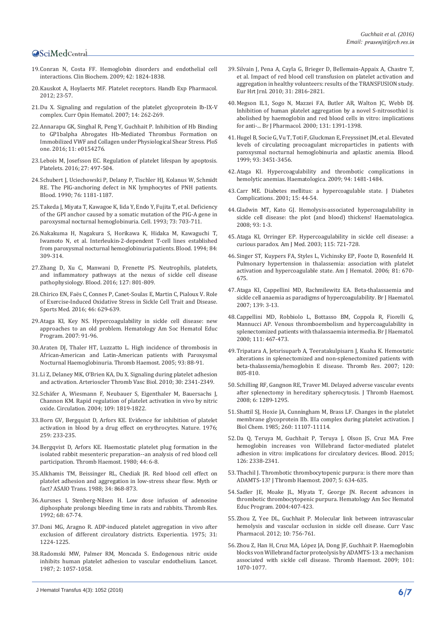- 19.[Conran N, Costa FF. Hemoglobin disorders and endothelial cell](http://www.ncbi.nlm.nih.gov/pubmed/19580799)  [interactions. Clin Biochem. 2009; 42: 1824-1838.](http://www.ncbi.nlm.nih.gov/pubmed/19580799)
- 20.[Kauskot A, Hoylaerts MF. Platelet receptors. Handb Exp Pharmacol.](http://www.ncbi.nlm.nih.gov/pubmed/22918726)  [2012; 23-57.](http://www.ncbi.nlm.nih.gov/pubmed/22918726)
- 21.[Du X. Signaling and regulation of the platelet glycoprotein Ib-IX-V](http://www.ncbi.nlm.nih.gov/pubmed/17414217)  [complex. Curr Opin Hematol. 2007; 14: 262-269.](http://www.ncbi.nlm.nih.gov/pubmed/17414217)
- 22.[Annarapu GK, Singhal R, Peng Y, Guchhait P. Inhibition of Hb Binding](http://www.ncbi.nlm.nih.gov/pmc/articles/PMC4841505/)  [to GP1balpha Abrogates Hb-Mediated Thrombus Formation on](http://www.ncbi.nlm.nih.gov/pmc/articles/PMC4841505/)  [Immobilized VWF and Collagen under Physiological Shear Stress. PloS](http://www.ncbi.nlm.nih.gov/pmc/articles/PMC4841505/)  [one. 2016; 11: e0154276.](http://www.ncbi.nlm.nih.gov/pmc/articles/PMC4841505/)
- 23.[Lebois M, Josefsson EC. Regulation of platelet lifespan by apoptosis.](http://www.ncbi.nlm.nih.gov/pubmed/27100842)  [Platelets. 2016; 27: 497-504.](http://www.ncbi.nlm.nih.gov/pubmed/27100842)
- 24.[Schubert J, Uciechowski P, Delany P, Tischler HJ, Kolanus W, Schmidt](http://www.ncbi.nlm.nih.gov/pubmed/1698101)  [RE. The PIG-anchoring defect in NK lymphocytes of PNH patients.](http://www.ncbi.nlm.nih.gov/pubmed/1698101)  [Blood. 1990; 76: 1181-1187.](http://www.ncbi.nlm.nih.gov/pubmed/1698101)
- 25.[Takeda J, Miyata T, Kawagoe K, Iida Y, Endo Y, Fujita T, et al. Deficiency](http://www.ncbi.nlm.nih.gov/pubmed/8500164)  [of the GPI anchor caused by a somatic mutation of the PIG-A gene in](http://www.ncbi.nlm.nih.gov/pubmed/8500164)  [paroxysmal nocturnal hemoglobinuria. Cell. 1993; 73: 703-711.](http://www.ncbi.nlm.nih.gov/pubmed/8500164)
- 26.[Nakakuma H, Nagakura S, Horikawa K, Hidaka M, Kawaguchi T,](http://www.ncbi.nlm.nih.gov/pubmed/7517213)  [Iwamoto N, et al. Interleukin-2-dependent T-cell lines established](http://www.ncbi.nlm.nih.gov/pubmed/7517213)  [from paroxysmal nocturnal hemoglobinuria patients. Blood. 1994; 84:](http://www.ncbi.nlm.nih.gov/pubmed/7517213)  [309-314.](http://www.ncbi.nlm.nih.gov/pubmed/7517213)
- 27.[Zhang D, Xu C, Manwani D, Frenette PS. Neutrophils, platelets,](http://www.ncbi.nlm.nih.gov/pubmed/26758915)  [and inflammatory pathways at the nexus of sickle cell disease](http://www.ncbi.nlm.nih.gov/pubmed/26758915)  [pathophysiology. Blood. 2016; 127: 801-809.](http://www.ncbi.nlm.nih.gov/pubmed/26758915)
- 28.Chirico EN, Faë[s C, Connes P, Canet-Soulas E, Martin C, Pialoux V. Role](http://www.ncbi.nlm.nih.gov/pubmed/26666745)  [of Exercise-Induced Oxidative Stress in Sickle Cell Trait and Disease.](http://www.ncbi.nlm.nih.gov/pubmed/26666745)  [Sports Med. 2016; 46: 629-639.](http://www.ncbi.nlm.nih.gov/pubmed/26666745)
- 29.[Ataga KI, Key NS. Hypercoagulability in sickle cell disease: new](http://www.ncbi.nlm.nih.gov/pubmed/18024615)  [approaches to an old problem. Hematology Am Soc Hematol Educ](http://www.ncbi.nlm.nih.gov/pubmed/18024615)  [Program. 2007: 91-96.](http://www.ncbi.nlm.nih.gov/pubmed/18024615)
- 30.[Araten DJ, Thaler HT, Luzzatto L. High incidence of thrombosis in](http://www.ncbi.nlm.nih.gov/pubmed/15630496)  [African-American and Latin-American patients with Paroxysmal](http://www.ncbi.nlm.nih.gov/pubmed/15630496)  [Nocturnal Haemoglobinuria. Thromb Haemost. 2005; 93: 88-91.](http://www.ncbi.nlm.nih.gov/pubmed/15630496)
- 31.[Li Z, Delaney MK, O'Brien KA, Du X. Signaling during platelet adhesion](http://www.ncbi.nlm.nih.gov/pubmed/21071698)  [and activation. Arterioscler Thromb Vasc Biol. 2010; 30: 2341-2349.](http://www.ncbi.nlm.nih.gov/pubmed/21071698)
- 32.Schä[fer A, Wiesmann F, Neubauer S, Eigenthaler M, Bauersachs J,](http://www.ncbi.nlm.nih.gov/pubmed/15066953)  [Channon KM. Rapid regulation of platelet activation in vivo by nitric](http://www.ncbi.nlm.nih.gov/pubmed/15066953)  [oxide. Circulation. 2004; 109: 1819-1822.](http://www.ncbi.nlm.nih.gov/pubmed/15066953)
- 33.[Born GV, Bergquist D, Arfors KE. Evidence for inhibition of platelet](http://www.ncbi.nlm.nih.gov/pubmed/1250354)  [activation in blood by a drug effect on erythrocytes. Nature. 1976;](http://www.ncbi.nlm.nih.gov/pubmed/1250354)  [259: 233-235.](http://www.ncbi.nlm.nih.gov/pubmed/1250354)
- 34.[Bergqvist D, Arfors KE. Haemostatic platelet plug formation in the](http://www.ncbi.nlm.nih.gov/pubmed/7423444)  [isolated rabbit mesenteric preparation--an analysis of red blood cell](http://www.ncbi.nlm.nih.gov/pubmed/7423444)  [participation. Thromb Haemost. 1980; 44: 6-8.](http://www.ncbi.nlm.nih.gov/pubmed/7423444)
- 35.[Alkhamis TM, Beissinger RL, Chediak JR. Red blood cell effect on](http://www.ncbi.nlm.nih.gov/pubmed/3196612)  [platelet adhesion and aggregation in low-stress shear flow. Myth or](http://www.ncbi.nlm.nih.gov/pubmed/3196612)  [fact? ASAIO Trans. 1988; 34: 868-873.](http://www.ncbi.nlm.nih.gov/pubmed/3196612)
- 36.[Aursnes I, Stenberg-Nilsen H. Low dose infusion of adenosine](http://www.ncbi.nlm.nih.gov/pubmed/1448798)  [diphosphate prolongs bleeding time in rats and rabbits. Thromb Res.](http://www.ncbi.nlm.nih.gov/pubmed/1448798)  [1992; 68: 67-74.](http://www.ncbi.nlm.nih.gov/pubmed/1448798)
- 37.[Doni MG, Aragno R. ADP-induced platelet aggregation in vivo after](http://www.ncbi.nlm.nih.gov/pubmed/1204751)  [exclusion of different circulatory districts. Experientia. 1975; 31:](http://www.ncbi.nlm.nih.gov/pubmed/1204751)  [1224-1225.](http://www.ncbi.nlm.nih.gov/pubmed/1204751)
- 38.[Radomski MW, Palmer RM, Moncada S. Endogenous nitric oxide](http://www.ncbi.nlm.nih.gov/pubmed/2889967)  [inhibits human platelet adhesion to vascular endothelium. Lancet.](http://www.ncbi.nlm.nih.gov/pubmed/2889967)  [1987; 2: 1057-1058.](http://www.ncbi.nlm.nih.gov/pubmed/2889967)
- 39.[Silvain J, Pena A, Cayla G, Brieger D, Bellemain-Appaix A, Chastre T,](https://www.researchgate.net/publication/44888603_Impact_of_red_blood_cell_transfusion_on_platelet_activation_and_aggregation_in_healthy_volunteers_Results_of_the_TRANSFUSION_study)  [et al. Impact of red blood cell transfusion on platelet activation and](https://www.researchgate.net/publication/44888603_Impact_of_red_blood_cell_transfusion_on_platelet_activation_and_aggregation_in_healthy_volunteers_Results_of_the_TRANSFUSION_study)  [aggregation in healthy volunteers: results of the TRANSFUSION study.](https://www.researchgate.net/publication/44888603_Impact_of_red_blood_cell_transfusion_on_platelet_activation_and_aggregation_in_healthy_volunteers_Results_of_the_TRANSFUSION_study)  [Eur Hrt Jrnl. 2010; 31: 2816-2821.](https://www.researchgate.net/publication/44888603_Impact_of_red_blood_cell_transfusion_on_platelet_activation_and_aggregation_in_healthy_volunteers_Results_of_the_TRANSFUSION_study)
- 40.[Megson IL1, Sogo N, Mazzei FA, Butler AR, Walton JC, Webb DJ.](http://www.ncbi.nlm.nih.gov/pubmed/11090112)  [Inhibition of human platelet aggregation by a novel S-nitrosothiol is](http://www.ncbi.nlm.nih.gov/pubmed/11090112)  [abolished by haemoglobin and red blood cells in vitro: implications](http://www.ncbi.nlm.nih.gov/pubmed/11090112)  [for anti-... Br J Pharmacol. 2000; 131: 1391-1398.](http://www.ncbi.nlm.nih.gov/pubmed/11090112)
- 41.[Hugel B, Socie G, Vu T, Toti F, Gluckman E, Freyssinet JM, et al. Elevated](http://www.ncbi.nlm.nih.gov/pubmed/10233897)  [levels of circulating procoagulant microparticles in patients with](http://www.ncbi.nlm.nih.gov/pubmed/10233897)  [paroxysmal nocturnal hemoglobinuria and aplastic anemia. Blood.](http://www.ncbi.nlm.nih.gov/pubmed/10233897)  [1999; 93: 3451-3456.](http://www.ncbi.nlm.nih.gov/pubmed/10233897)
- 42.[Ataga KI. Hypercoagulability and thrombotic complications in](http://www.ncbi.nlm.nih.gov/pubmed/19880774)  [hemolytic anemias. Haematologica. 2009; 94: 1481-1484.](http://www.ncbi.nlm.nih.gov/pubmed/19880774)
- 43.[Carr ME. Diabetes mellitus: a hypercoagulable state. J Diabetes](http://www.ncbi.nlm.nih.gov/pubmed/11259926)  [Complications. 2001; 15: 44-54.](http://www.ncbi.nlm.nih.gov/pubmed/11259926)
- 44.[Gladwin MT, Kato GJ. Hemolysis-associated hypercoagulability in](http://www.ncbi.nlm.nih.gov/pubmed/18166776)  [sickle cell disease: the plot \(and blood\) thickens! Haematologica.](http://www.ncbi.nlm.nih.gov/pubmed/18166776)  [2008; 93: 1-3.](http://www.ncbi.nlm.nih.gov/pubmed/18166776)
- 45.[Ataga KI, Orringer EP. Hypercoagulability in sickle cell disease: a](http://www.ncbi.nlm.nih.gov/pubmed/14693325)  [curious paradox. Am J Med. 2003; 115: 721-728.](http://www.ncbi.nlm.nih.gov/pubmed/14693325)
- 46.[Singer ST, Kuypers FA, Styles L, Vichinsky EP, Foote D, Rosenfeld H.](http://www.ncbi.nlm.nih.gov/pubmed/16795058)  [Pulmonary hypertension in thalassemia: association with platelet](http://www.ncbi.nlm.nih.gov/pubmed/16795058)  [activation and hypercoagulable state. Am J Hematol. 2006; 81: 670-](http://www.ncbi.nlm.nih.gov/pubmed/16795058) [675.](http://www.ncbi.nlm.nih.gov/pubmed/16795058)
- 47.[Ataga KI, Cappellini MD, Rachmilewitz EA. Beta-thalassaemia and](http://www.ncbi.nlm.nih.gov/pubmed/17854302)  [sickle cell anaemia as paradigms of hypercoagulability. Br J Haematol.](http://www.ncbi.nlm.nih.gov/pubmed/17854302)  [2007; 139: 3-13.](http://www.ncbi.nlm.nih.gov/pubmed/17854302)
- 48.[Cappellini MD, Robbiolo L, Bottasso BM, Coppola R, Fiorelli G,](http://www.ncbi.nlm.nih.gov/pubmed/11122086)  [Mannucci AP. Venous thromboembolism and hypercoagulability in](http://www.ncbi.nlm.nih.gov/pubmed/11122086)  [splenectomized patients with thalassaemia intermedia. Br J Haematol.](http://www.ncbi.nlm.nih.gov/pubmed/11122086)  [2000; 111: 467-473.](http://www.ncbi.nlm.nih.gov/pubmed/11122086)
- 49.[Tripatara A, Jetsrisuparb A, Teeratakulpisarn J, Kuaha K. Hemostatic](http://www.ncbi.nlm.nih.gov/pubmed/17382994)  [alterations in splenectomized and non-splenectomized patients with](http://www.ncbi.nlm.nih.gov/pubmed/17382994)  [beta-thalassemia/hemoglobin E disease. Thromb Res. 2007; 120:](http://www.ncbi.nlm.nih.gov/pubmed/17382994)  [805-810.](http://www.ncbi.nlm.nih.gov/pubmed/17382994)
- 50.[Schilling RF, Gangnon RE, Traver MI. Delayed adverse vascular events](http://www.ncbi.nlm.nih.gov/pubmed/18485083)  [after splenectomy in hereditary spherocytosis. J Thromb Haemost.](http://www.ncbi.nlm.nih.gov/pubmed/18485083)  [2008; 6: 1289-1295.](http://www.ncbi.nlm.nih.gov/pubmed/18485083)
- 51.[Shattil SJ, Hoxie JA, Cunningham M, Brass LF. Changes in the platelet](http://www.ncbi.nlm.nih.gov/pubmed/2411729)  [membrane glycoprotein IIb. IIIa complex during platelet activation. J](http://www.ncbi.nlm.nih.gov/pubmed/2411729)  [Biol Chem. 1985; 260: 11107-11114.](http://www.ncbi.nlm.nih.gov/pubmed/2411729)
- 52.[Da Q, Teruya M, Guchhait P, Teruya J, Olson JS, Cruz MA. Free](http://www.ncbi.nlm.nih.gov/pubmed/26307534)  [hemoglobin increases von Willebrand factor-mediated platelet](http://www.ncbi.nlm.nih.gov/pubmed/26307534)  [adhesion in vitro: implications for circulatory devices. Blood. 2015;](http://www.ncbi.nlm.nih.gov/pubmed/26307534)  [126: 2338-2341.](http://www.ncbi.nlm.nih.gov/pubmed/26307534)
- 53.[Thachil J. Thrombotic thrombocytopenic purpura: is there more than](http://www.ncbi.nlm.nih.gov/pubmed/17155955)  [ADAMTS-13? J Thromb Haemost. 2007; 5: 634-635.](http://www.ncbi.nlm.nih.gov/pubmed/17155955)
- 54.[Sadler JE, Moake JL, Miyata T, George JN. Recent advances in](http://www.ncbi.nlm.nih.gov/pubmed/15561695)  [thrombotic thrombocytopenic purpura. Hematology Am Soc Hematol](http://www.ncbi.nlm.nih.gov/pubmed/15561695)  [Educ Program. 2004:407-423.](http://www.ncbi.nlm.nih.gov/pubmed/15561695)
- 55.[Zhou Z, Yee DL, Guchhait P. Molecular link between intravascular](http://www.ncbi.nlm.nih.gov/pubmed/22272904)  [hemolysis and vascular occlusion in sickle cell disease. Curr Vasc](http://www.ncbi.nlm.nih.gov/pubmed/22272904)  [Pharmacol. 2012; 10: 756-761.](http://www.ncbi.nlm.nih.gov/pubmed/22272904)
- 56.Zhou Z, Han H, Cruz MA, L[ópez JA, Dong JF, Guchhait P. Haemoglobin](http://www.ncbi.nlm.nih.gov/pubmed/19492149)  [blocks von Willebrand factor proteolysis by ADAMTS-13: a mechanism](http://www.ncbi.nlm.nih.gov/pubmed/19492149)  [associated with sickle cell disease. Thromb Haemost. 2009; 101:](http://www.ncbi.nlm.nih.gov/pubmed/19492149)  [1070-1077.](http://www.ncbi.nlm.nih.gov/pubmed/19492149)

J Hematol Transfus 4(3): 1052 (2016) **6/7**